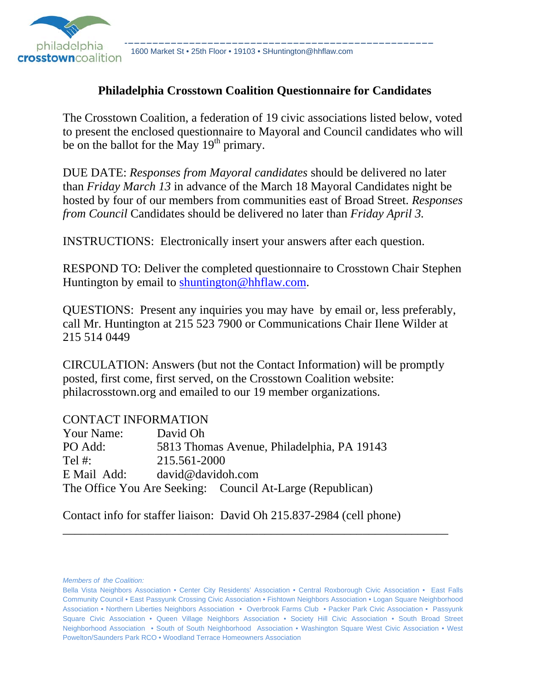

### **Philadelphia Crosstown Coalition Questionnaire for Candidates**

The Crosstown Coalition, a federation of 19 civic associations listed below, voted to present the enclosed questionnaire to Mayoral and Council candidates who will be on the ballot for the May  $19<sup>th</sup>$  primary.

DUE DATE: *Responses from Mayoral candidates* should be delivered no later than *Friday March 13* in advance of the March 18 Mayoral Candidates night be hosted by four of our members from communities east of Broad Street. *Responses from Council* Candidates should be delivered no later than *Friday April 3.*

INSTRUCTIONS: Electronically insert your answers after each question.

RESPOND TO: Deliver the completed questionnaire to Crosstown Chair Stephen Huntington by email to shuntington@hhflaw.com.

QUESTIONS: Present any inquiries you may have by email or, less preferably, call Mr. Huntington at 215 523 7900 or Communications Chair Ilene Wilder at 215 514 0449

CIRCULATION: Answers (but not the Contact Information) will be promptly posted, first come, first served, on the Crosstown Coalition website: philacrosstown.org and emailed to our 19 member organizations.

#### CONTACT INFORMATION

| Your Name:  | David Oh                                                  |
|-------------|-----------------------------------------------------------|
| PO Add:     | 5813 Thomas Avenue, Philadelphia, PA 19143                |
| Tel $#$ :   | 215.561-2000                                              |
| E Mail Add: | david@davidoh.com                                         |
|             | The Office You Are Seeking: Council At-Large (Republican) |

Contact info for staffer liaison: David Oh 215.837-2984 (cell phone)

*Members of the Coalition:*

\_\_\_\_\_\_\_\_\_\_\_\_\_\_\_\_\_\_\_\_\_\_\_\_\_\_\_\_\_\_\_\_\_\_\_\_\_\_\_\_\_\_\_\_\_\_\_\_\_\_\_\_\_\_\_\_\_\_\_\_\_\_\_

Bella Vista Neighbors Association • Center City Residents' Association • Central Roxborough Civic Association • East Falls Community Council • East Passyunk Crossing Civic Association • Fishtown Neighbors Association • Logan Square Neighborhood Association • Northern Liberties Neighbors Association • Overbrook Farms Club • Packer Park Civic Association • Passyunk Square Civic Association • Queen Village Neighbors Association • Society Hill Civic Association • South Broad Street Neighborhood Association • South of South Neighborhood Association • Washington Square West Civic Association • West Powelton/Saunders Park RCO • Woodland Terrace Homeowners Association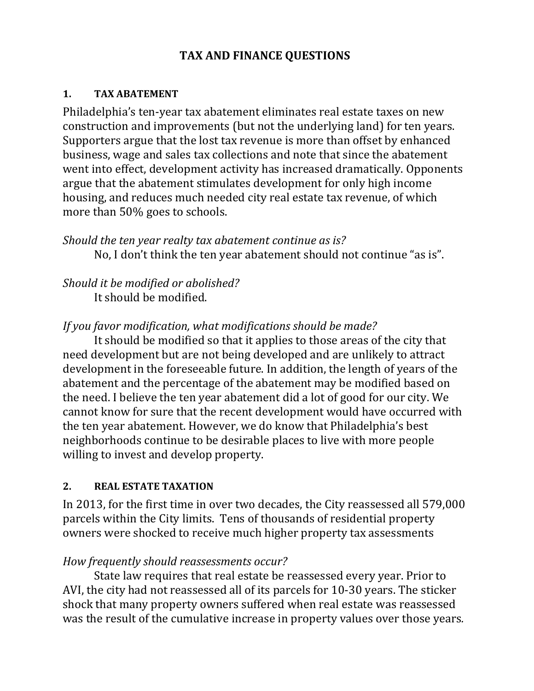## **TAX AND FINANCE QUESTIONS**

#### **1. TAX ABATEMENT**

Philadelphia's ten-year tax abatement eliminates real estate taxes on new construction and improvements (but not the underlying land) for ten years. Supporters argue that the lost tax revenue is more than offset by enhanced business, wage and sales tax collections and note that since the abatement went into effect, development activity has increased dramatically. Opponents argue that the abatement stimulates development for only high income housing, and reduces much needed city real estate tax revenue, of which more than 50% goes to schools.

*Should the ten year realty tax abatement continue as is?*  No, I don't think the ten year abatement should not continue "as is".

*Should it be modified or abolished?* It should be modified.

## *If you favor modification, what modifications should be made?*

It should be modified so that it applies to those areas of the city that need development but are not being developed and are unlikely to attract development in the foreseeable future. In addition, the length of years of the abatement and the percentage of the abatement may be modified based on the need. I believe the ten year abatement did a lot of good for our city. We cannot know for sure that the recent development would have occurred with the ten year abatement. However, we do know that Philadelphia's best neighborhoods continue to be desirable places to live with more people willing to invest and develop property.

### **2. REAL ESTATE TAXATION**

In 2013, for the first time in over two decades, the City reassessed all 579,000 parcels within the City limits. Tens of thousands of residential property owners were shocked to receive much higher property tax assessments

### *How frequently should reassessments occur?*

State law requires that real estate be reassessed every year. Prior to AVI, the city had not reassessed all of its parcels for 10-30 years. The sticker shock that many property owners suffered when real estate was reassessed was the result of the cumulative increase in property values over those years.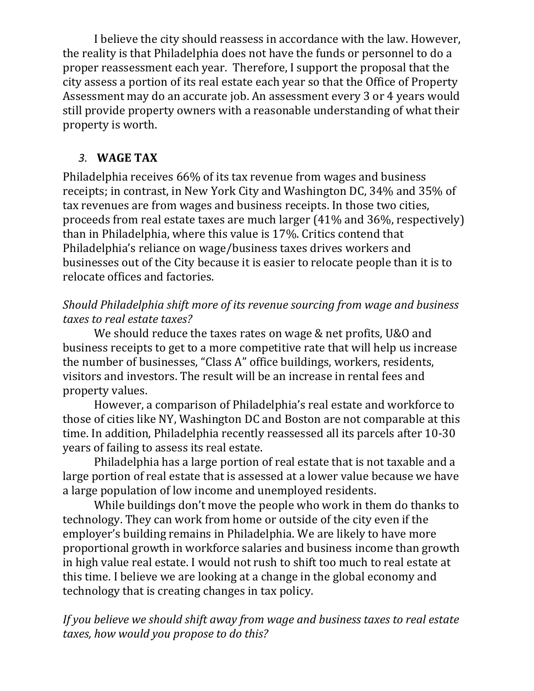I believe the city should reassess in accordance with the law. However, the reality is that Philadelphia does not have the funds or personnel to do a proper reassessment each year. Therefore, I support the proposal that the city assess a portion of its real estate each year so that the Office of Property Assessment may do an accurate job. An assessment every 3 or 4 years would still provide property owners with a reasonable understanding of what their property is worth.

# *3.* **WAGE TAX**

Philadelphia receives 66% of its tax revenue from wages and business receipts; in contrast, in New York City and Washington DC, 34% and 35% of tax revenues are from wages and business receipts. In those two cities, proceeds from real estate taxes are much larger  $(41\%$  and  $36\%$ , respectively) than in Philadelphia, where this value is 17%. Critics contend that Philadelphia's reliance on wage/business taxes drives workers and businesses out of the City because it is easier to relocate people than it is to relocate offices and factories.

## *Should Philadelphia shift more of its revenue sourcing from wage and business taxes to real estate taxes?*

We should reduce the taxes rates on wage & net profits, U&O and business receipts to get to a more competitive rate that will help us increase the number of businesses, "Class A" office buildings, workers, residents, visitors and investors. The result will be an increase in rental fees and property values.

However, a comparison of Philadelphia's real estate and workforce to those of cities like NY, Washington DC and Boston are not comparable at this time. In addition, Philadelphia recently reassessed all its parcels after 10-30 years of failing to assess its real estate.

Philadelphia has a large portion of real estate that is not taxable and a large portion of real estate that is assessed at a lower value because we have a large population of low income and unemployed residents.

While buildings don't move the people who work in them do thanks to technology. They can work from home or outside of the city even if the employer's building remains in Philadelphia. We are likely to have more proportional growth in workforce salaries and business income than growth in high value real estate. I would not rush to shift too much to real estate at this time. I believe we are looking at a change in the global economy and technology that is creating changes in tax policy.

*If you believe we should shift away from wage and business taxes to real estate taxes, how would you propose to do this?*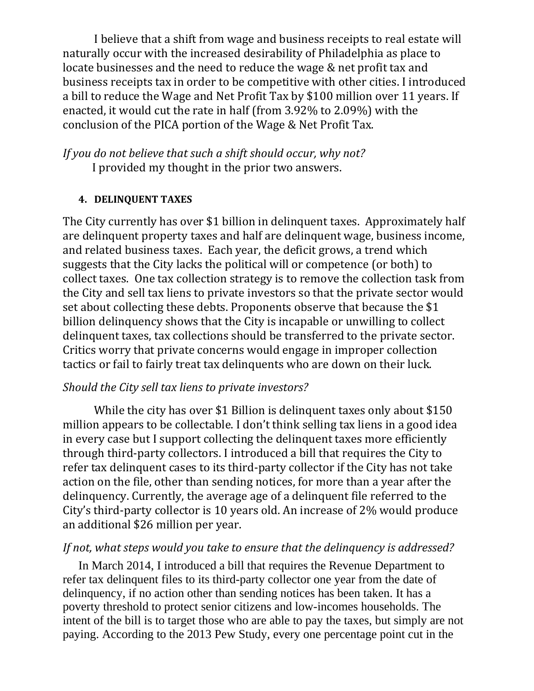I believe that a shift from wage and business receipts to real estate will naturally occur with the increased desirability of Philadelphia as place to locate businesses and the need to reduce the wage & net profit tax and business receipts tax in order to be competitive with other cities. I introduced a bill to reduce the Wage and Net Profit Tax by \$100 million over 11 years. If enacted, it would cut the rate in half (from  $3.92\%$  to  $2.09\%$ ) with the conclusion of the PICA portion of the Wage & Net Profit Tax.

*If you do not believe that such a shift should occur, why not?* I provided my thought in the prior two answers.

#### **4. DELINQUENT TAXES**

The City currently has over \$1 billion in delinquent taxes. Approximately half are delinquent property taxes and half are delinquent wage, business income, and related business taxes. Each year, the deficit grows, a trend which suggests that the City lacks the political will or competence (or both) to collect taxes. One tax collection strategy is to remove the collection task from the City and sell tax liens to private investors so that the private sector would set about collecting these debts. Proponents observe that because the \$1 billion delinquency shows that the City is incapable or unwilling to collect delinquent taxes, tax collections should be transferred to the private sector. Critics worry that private concerns would engage in improper collection tactics or fail to fairly treat tax delinquents who are down on their luck.

#### *Should the City sell tax liens to private investors?*

While the city has over \$1 Billion is delinguent taxes only about  $$150$ million appears to be collectable. I don't think selling tax liens in a good idea in every case but I support collecting the delinguent taxes more efficiently through third-party collectors. I introduced a bill that requires the City to refer tax delinquent cases to its third-party collector if the City has not take action on the file, other than sending notices, for more than a year after the delinguency. Currently, the average age of a delinguent file referred to the City's third-party collector is 10 years old. An increase of  $2\%$  would produce an additional \$26 million per year.

#### *If not, what steps would you take to ensure that the delinquency is addressed?*

In March 2014, I introduced a bill that requires the Revenue Department to refer tax delinquent files to its third-party collector one year from the date of delinquency, if no action other than sending notices has been taken. It has a poverty threshold to protect senior citizens and low-incomes households. The intent of the bill is to target those who are able to pay the taxes, but simply are not paying. According to the 2013 Pew Study, every one percentage point cut in the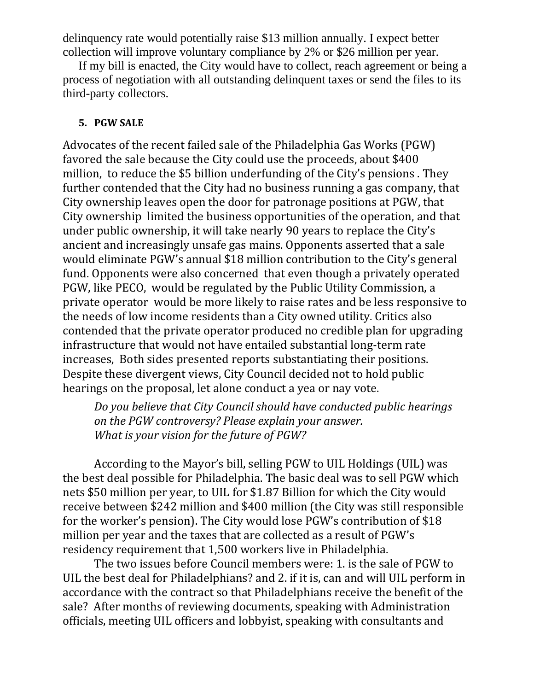delinquency rate would potentially raise \$13 million annually. I expect better collection will improve voluntary compliance by 2% or \$26 million per year.

If my bill is enacted, the City would have to collect, reach agreement or being a process of negotiation with all outstanding delinquent taxes or send the files to its third-party collectors.

#### **5. PGW SALE**

Advocates of the recent failed sale of the Philadelphia Gas Works (PGW) favored the sale because the City could use the proceeds, about \$400 million, to reduce the \$5 billion underfunding of the City's pensions. They further contended that the City had no business running a gas company, that City ownership leaves open the door for patronage positions at PGW, that City ownership limited the business opportunities of the operation, and that under public ownership, it will take nearly 90 years to replace the City's ancient and increasingly unsafe gas mains. Opponents asserted that a sale would eliminate PGW's annual \$18 million contribution to the City's general fund. Opponents were also concerned that even though a privately operated PGW, like PECO, would be regulated by the Public Utility Commission, a private operator would be more likely to raise rates and be less responsive to the needs of low income residents than a City owned utility. Critics also contended that the private operator produced no credible plan for upgrading infrastructure that would not have entailed substantial long-term rate increases, Both sides presented reports substantiating their positions. Despite these divergent views, City Council decided not to hold public hearings on the proposal, let alone conduct a yea or nay vote.

*Do you believe that City Council should have conducted public hearings on the PGW controversy? Please explain your answer. What is your vision for the future of PGW?* 

According to the Mayor's bill, selling PGW to UIL Holdings (UIL) was the best deal possible for Philadelphia. The basic deal was to sell PGW which nets \$50 million per year, to UIL for \$1.87 Billion for which the City would receive between \$242 million and \$400 million (the City was still responsible for the worker's pension). The City would lose PGW's contribution of \$18 million per year and the taxes that are collected as a result of PGW's residency requirement that 1,500 workers live in Philadelphia.

The two issues before Council members were: 1. is the sale of PGW to UIL the best deal for Philadelphians? and 2. if it is, can and will UIL perform in accordance with the contract so that Philadelphians receive the benefit of the sale? After months of reviewing documents, speaking with Administration officials, meeting UIL officers and lobbyist, speaking with consultants and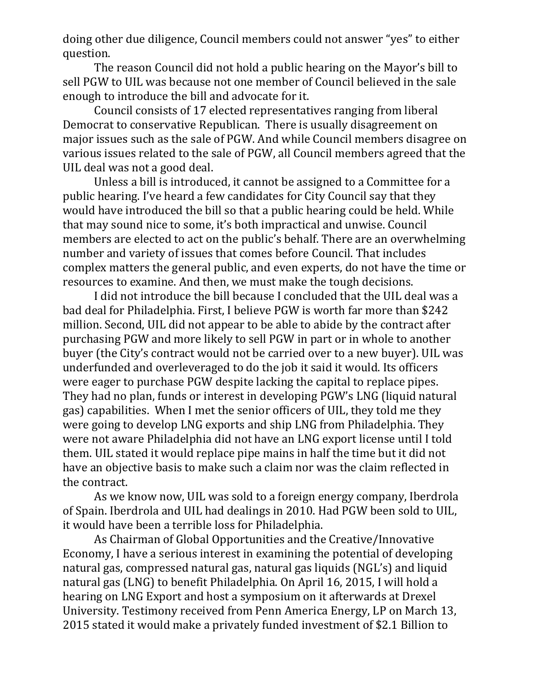doing other due diligence, Council members could not answer "yes" to either question. 

The reason Council did not hold a public hearing on the Mayor's bill to sell PGW to UIL was because not one member of Council believed in the sale enough to introduce the bill and advocate for it.

Council consists of 17 elected representatives ranging from liberal Democrat to conservative Republican. There is usually disagreement on major issues such as the sale of PGW. And while Council members disagree on various issues related to the sale of PGW, all Council members agreed that the UIL deal was not a good deal.

Unless a bill is introduced, it cannot be assigned to a Committee for a public hearing. I've heard a few candidates for City Council say that they would have introduced the bill so that a public hearing could be held. While that may sound nice to some, it's both impractical and unwise. Council members are elected to act on the public's behalf. There are an overwhelming number and variety of issues that comes before Council. That includes complex matters the general public, and even experts, do not have the time or resources to examine. And then, we must make the tough decisions.

I did not introduce the bill because I concluded that the UIL deal was a bad deal for Philadelphia. First, I believe PGW is worth far more than \$242 million. Second, UIL did not appear to be able to abide by the contract after purchasing PGW and more likely to sell PGW in part or in whole to another buyer (the City's contract would not be carried over to a new buyer). UIL was underfunded and overleveraged to do the job it said it would. Its officers were eager to purchase PGW despite lacking the capital to replace pipes. They had no plan, funds or interest in developing PGW's LNG (liquid natural gas) capabilities. When I met the senior officers of UIL, they told me they were going to develop LNG exports and ship LNG from Philadelphia. They were not aware Philadelphia did not have an LNG export license until I told them. UIL stated it would replace pipe mains in half the time but it did not have an objective basis to make such a claim nor was the claim reflected in the contract.

As we know now, UIL was sold to a foreign energy company, Iberdrola of Spain. Iberdrola and UIL had dealings in 2010. Had PGW been sold to UIL, it would have been a terrible loss for Philadelphia.

As Chairman of Global Opportunities and the Creative/Innovative Economy, I have a serious interest in examining the potential of developing natural gas, compressed natural gas, natural gas liquids (NGL's) and liquid natural gas (LNG) to benefit Philadelphia. On April 16, 2015, I will hold a hearing on LNG Export and host a symposium on it afterwards at Drexel University. Testimony received from Penn America Energy, LP on March 13, 2015 stated it would make a privately funded investment of \$2.1 Billion to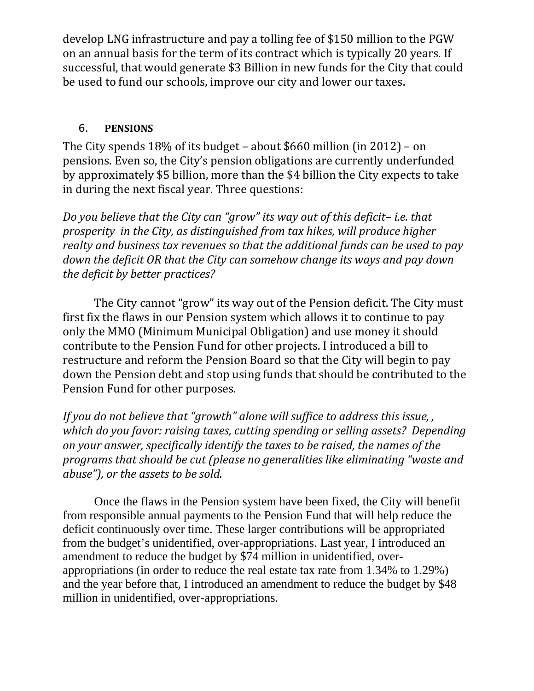develop LNG infrastructure and pay a tolling fee of \$150 million to the PGW on an annual basis for the term of its contract which is typically 20 years. If successful, that would generate \$3 Billion in new funds for the City that could be used to fund our schools, improve our city and lower our taxes.

### 6. **PENSIONS**

The City spends  $18\%$  of its budget – about \$660 million (in 2012) – on pensions. Even so, the City's pension obligations are currently underfunded by approximately \$5 billion, more than the \$4 billion the City expects to take in during the next fiscal year. Three questions:

*Do you believe that the City can "grow" its way out of this deficit– i.e. that prosperity in the City, as distinguished from tax hikes, will produce higher realty and business tax revenues so that the additional funds can be used to pay down the deficit OR that the City can somehow change its ways and pay down the deficit by better practices?*

The City cannot "grow" its way out of the Pension deficit. The City must first fix the flaws in our Pension system which allows it to continue to pay only the MMO (Minimum Municipal Obligation) and use money it should contribute to the Pension Fund for other projects. I introduced a bill to restructure and reform the Pension Board so that the City will begin to pay down the Pension debt and stop using funds that should be contributed to the Pension Fund for other purposes.

*If you do not believe that "growth" alone will suffice to address this issue, , which do you favor: raising taxes, cutting spending or selling assets? Depending on your answer, specifically identify the taxes to be raised, the names of the programs that should be cut (please no generalities like eliminating "waste and abuse"), or the assets to be sold.*

 Once the flaws in the Pension system have been fixed, the City will benefit from responsible annual payments to the Pension Fund that will help reduce the deficit continuously over time. These larger contributions will be appropriated from the budget's unidentified, over-appropriations. Last year, I introduced an amendment to reduce the budget by \$74 million in unidentified, overappropriations (in order to reduce the real estate tax rate from 1.34% to 1.29%) and the year before that, I introduced an amendment to reduce the budget by \$48 million in unidentified, over-appropriations.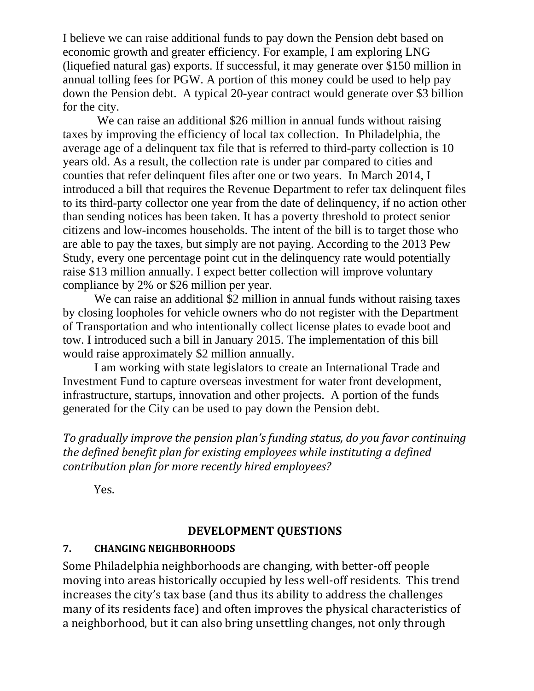I believe we can raise additional funds to pay down the Pension debt based on economic growth and greater efficiency. For example, I am exploring LNG (liquefied natural gas) exports. If successful, it may generate over \$150 million in annual tolling fees for PGW. A portion of this money could be used to help pay down the Pension debt. A typical 20-year contract would generate over \$3 billion for the city.

We can raise an additional \$26 million in annual funds without raising taxes by improving the efficiency of local tax collection. In Philadelphia, the average age of a delinquent tax file that is referred to third-party collection is 10 years old. As a result, the collection rate is under par compared to cities and counties that refer delinquent files after one or two years. In March 2014, I introduced a bill that requires the Revenue Department to refer tax delinquent files to its third-party collector one year from the date of delinquency, if no action other than sending notices has been taken. It has a poverty threshold to protect senior citizens and low-incomes households. The intent of the bill is to target those who are able to pay the taxes, but simply are not paying. According to the 2013 Pew Study, every one percentage point cut in the delinquency rate would potentially raise \$13 million annually. I expect better collection will improve voluntary compliance by 2% or \$26 million per year.

We can raise an additional \$2 million in annual funds without raising taxes by closing loopholes for vehicle owners who do not register with the Department of Transportation and who intentionally collect license plates to evade boot and tow. I introduced such a bill in January 2015. The implementation of this bill would raise approximately \$2 million annually.

I am working with state legislators to create an International Trade and Investment Fund to capture overseas investment for water front development, infrastructure, startups, innovation and other projects. A portion of the funds generated for the City can be used to pay down the Pension debt.

*To gradually improve the pension plan's funding status, do you favor continuing the defined benefit plan for existing employees while instituting a defined contribution plan for more recently hired employees?*

 Yes.

### **DEVELOPMENT QUESTIONS**

### **7. CHANGING NEIGHBORHOODS**

Some Philadelphia neighborhoods are changing, with better-off people moving into areas historically occupied by less well-off residents. This trend increases the city's tax base (and thus its ability to address the challenges many of its residents face) and often improves the physical characteristics of a neighborhood, but it can also bring unsettling changes, not only through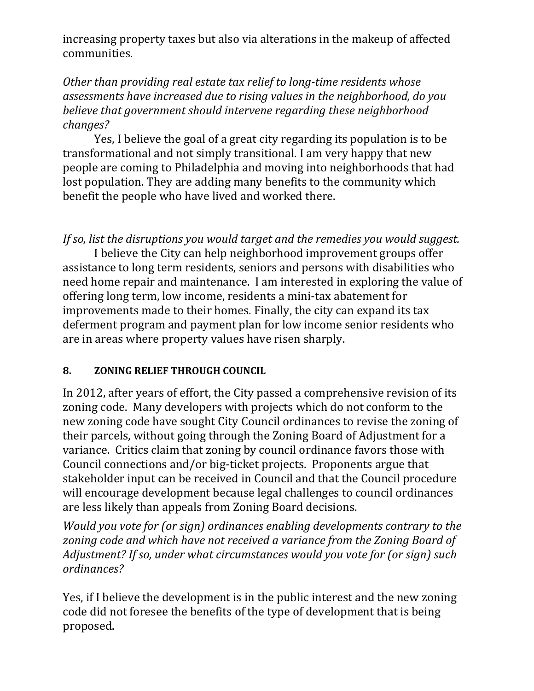increasing property taxes but also via alterations in the makeup of affected communities. 

*Other than providing real estate tax relief to long‐time residents whose assessments have increased due to rising values in the neighborhood, do you believe that government should intervene regarding these neighborhood changes?*

Yes, I believe the goal of a great city regarding its population is to be transformational and not simply transitional. I am very happy that new people are coming to Philadelphia and moving into neighborhoods that had lost population. They are adding many benefits to the community which benefit the people who have lived and worked there.

*If so, list the disruptions you would target and the remedies you would suggest.* 

I believe the City can help neighborhood improvement groups offer assistance to long term residents, seniors and persons with disabilities who need home repair and maintenance. I am interested in exploring the value of offering long term, low income, residents a mini-tax abatement for improvements made to their homes. Finally, the city can expand its tax deferment program and payment plan for low income senior residents who are in areas where property values have risen sharply.

### **8. ZONING RELIEF THROUGH COUNCIL**

In 2012, after years of effort, the City passed a comprehensive revision of its zoning code. Many developers with projects which do not conform to the new zoning code have sought City Council ordinances to revise the zoning of their parcels, without going through the Zoning Board of Adjustment for a variance. Critics claim that zoning by council ordinance favors those with Council connections and/or big-ticket projects. Proponents argue that stakeholder input can be received in Council and that the Council procedure will encourage development because legal challenges to council ordinances are less likely than appeals from Zoning Board decisions.

*Would you vote for (or sign) ordinances enabling developments contrary to the zoning code and which have not received a variance from the Zoning Board of Adjustment? If so, under what circumstances would you vote for (or sign) such ordinances?*

Yes, if I believe the development is in the public interest and the new zoning code did not foresee the benefits of the type of development that is being proposed.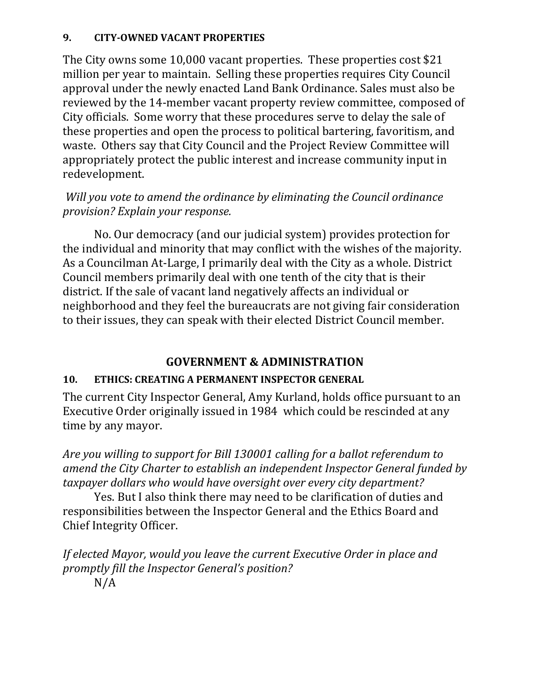### **9. CITY‐OWNED VACANT PROPERTIES**

The City owns some  $10,000$  vacant properties. These properties cost \$21 million per year to maintain. Selling these properties requires City Council approval under the newly enacted Land Bank Ordinance. Sales must also be reviewed by the 14-member vacant property review committee, composed of City officials. Some worry that these procedures serve to delay the sale of these properties and open the process to political bartering, favoritism, and waste. Others say that City Council and the Project Review Committee will appropriately protect the public interest and increase community input in redevelopment. 

## *Will you vote to amend the ordinance by eliminating the Council ordinance provision? Explain your response.*

No. Our democracy (and our judicial system) provides protection for the individual and minority that may conflict with the wishes of the majority. As a Councilman At-Large, I primarily deal with the City as a whole. District Council members primarily deal with one tenth of the city that is their district. If the sale of vacant land negatively affects an individual or neighborhood and they feel the bureaucrats are not giving fair consideration to their issues, they can speak with their elected District Council member.

# **GOVERNMENT & ADMINISTRATION**

# **10. ETHICS: CREATING A PERMANENT INSPECTOR GENERAL**

The current City Inspector General, Amy Kurland, holds office pursuant to an Executive Order originally issued in 1984 which could be rescinded at any time by any mayor.

*Are you willing to support for Bill 130001 calling for a ballot referendum to amend the City Charter to establish an independent Inspector General funded by taxpayer dollars who would have oversight over every city department?* 

Yes. But I also think there may need to be clarification of duties and responsibilities between the Inspector General and the Ethics Board and Chief Integrity Officer.

*If elected Mayor, would you leave the current Executive Order in place and promptly fill the Inspector General's position?* N/A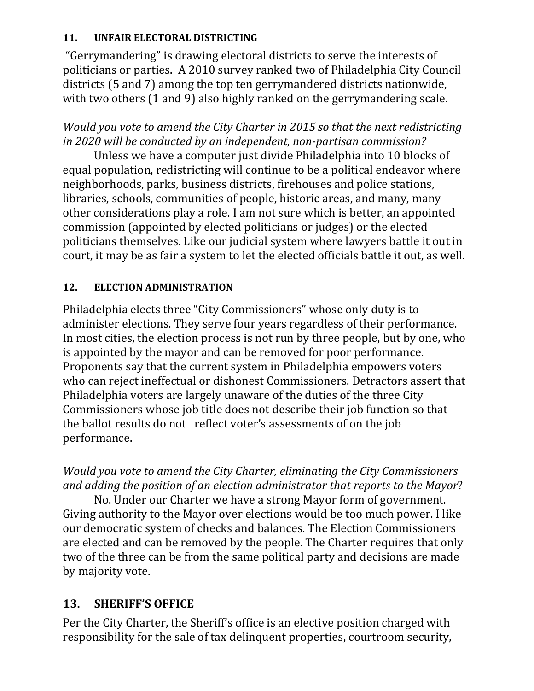### 11. **UNFAIR ELECTORAL DISTRICTING**

"Gerrymandering" is drawing electoral districts to serve the interests of politicians or parties. A 2010 survey ranked two of Philadelphia City Council districts (5 and 7) among the top ten gerrymandered districts nationwide, with two others  $(1 \text{ and } 9)$  also highly ranked on the gerrymandering scale.

# *Would you vote to amend the City Charter in 2015 so that the next redistricting in 2020 will be conducted by an independent, non‐partisan commission?*

Unless we have a computer just divide Philadelphia into 10 blocks of equal population, redistricting will continue to be a political endeavor where neighborhoods, parks, business districts, firehouses and police stations, libraries, schools, communities of people, historic areas, and many, many other considerations play a role. I am not sure which is better, an appointed commission (appointed by elected politicians or judges) or the elected politicians themselves. Like our judicial system where lawyers battle it out in court, it may be as fair a system to let the elected officials battle it out, as well.

## 12. **ELECTION ADMINISTRATION**

Philadelphia elects three "City Commissioners" whose only duty is to administer elections. They serve four years regardless of their performance. In most cities, the election process is not run by three people, but by one, who is appointed by the mayor and can be removed for poor performance. Proponents say that the current system in Philadelphia empowers voters who can reject ineffectual or dishonest Commissioners. Detractors assert that Philadelphia voters are largely unaware of the duties of the three City Commissioners whose job title does not describe their job function so that the ballot results do not reflect voter's assessments of on the job performance. 

*Would you vote to amend the City Charter, eliminating the City Commissioners and adding the position of an election administrator that reports to the Mayor*? 

No. Under our Charter we have a strong Mayor form of government. Giving authority to the Mayor over elections would be too much power. I like our democratic system of checks and balances. The Election Commissioners are elected and can be removed by the people. The Charter requires that only two of the three can be from the same political party and decisions are made by majority vote.

# 13. **SHERIFF'S OFFICE**

Per the City Charter, the Sheriff's office is an elective position charged with responsibility for the sale of tax delinquent properties, courtroom security,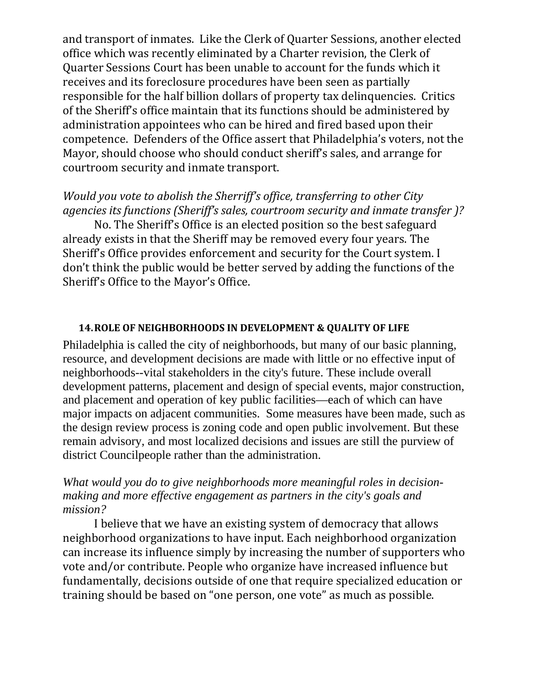and transport of inmates. Like the Clerk of Quarter Sessions, another elected office which was recently eliminated by a Charter revision, the Clerk of Quarter Sessions Court has been unable to account for the funds which it receives and its foreclosure procedures have been seen as partially responsible for the half billion dollars of property tax delinquencies. Critics of the Sheriff's office maintain that its functions should be administered by administration appointees who can be hired and fired based upon their competence. Defenders of the Office assert that Philadelphia's voters, not the Mayor, should choose who should conduct sheriff's sales, and arrange for courtroom security and inmate transport.

### *Would you vote to abolish the Sherriff's office, transferring to other City agencies its functions (Sheriff's sales, courtroom security and inmate transfer )?*

No. The Sheriff's Office is an elected position so the best safeguard already exists in that the Sheriff may be removed every four years. The Sheriff's Office provides enforcement and security for the Court system. I don't think the public would be better served by adding the functions of the Sheriff's Office to the Mayor's Office.

#### **14.ROLE OF NEIGHBORHOODS IN DEVELOPMENT & QUALITY OF LIFE**

Philadelphia is called the city of neighborhoods, but many of our basic planning, resource, and development decisions are made with little or no effective input of neighborhoods--vital stakeholders in the city's future. These include overall development patterns, placement and design of special events, major construction, and placement and operation of key public facilities—each of which can have major impacts on adjacent communities. Some measures have been made, such as the design review process is zoning code and open public involvement. But these remain advisory, and most localized decisions and issues are still the purview of district Councilpeople rather than the administration.

#### *What would you do to give neighborhoods more meaningful roles in decisionmaking and more effective engagement as partners in the city's goals and mission?*

I believe that we have an existing system of democracy that allows neighborhood organizations to have input. Each neighborhood organization can increase its influence simply by increasing the number of supporters who vote and/or contribute. People who organize have increased influence but fundamentally, decisions outside of one that require specialized education or training should be based on "one person, one vote" as much as possible.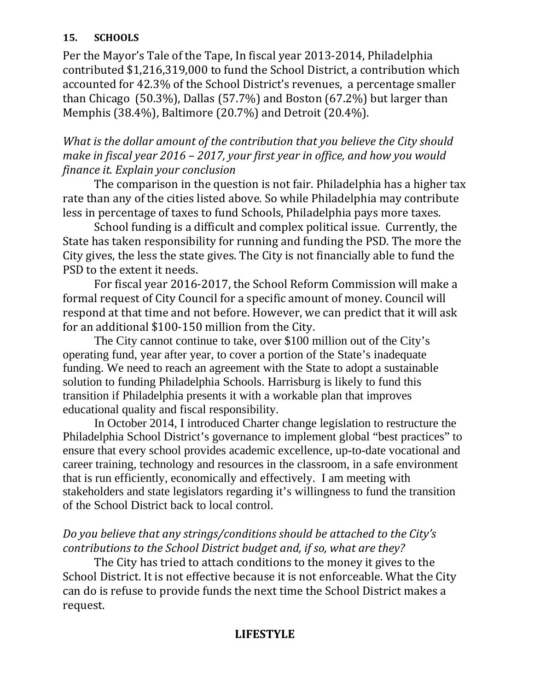### **15. SCHOOLS**

Per the Mayor's Tale of the Tape, In fiscal year 2013-2014, Philadelphia contributed \$1,216,319,000 to fund the School District, a contribution which accounted for 42.3% of the School District's revenues, a percentage smaller than Chicago  $(50.3\%)$ , Dallas  $(57.7\%)$  and Boston  $(67.2\%)$  but larger than Memphis (38.4%), Baltimore (20.7%) and Detroit (20.4%).

*What is the dollar amount of the contribution that you believe the City should make in fiscal year 2016 – 2017, your first year in office, and how you would finance it. Explain your conclusion*

The comparison in the question is not fair. Philadelphia has a higher tax rate than any of the cities listed above. So while Philadelphia may contribute less in percentage of taxes to fund Schools, Philadelphia pays more taxes.

School funding is a difficult and complex political issue. Currently, the State has taken responsibility for running and funding the PSD. The more the City gives, the less the state gives. The City is not financially able to fund the PSD to the extent it needs.

For fiscal year 2016-2017, the School Reform Commission will make a formal request of City Council for a specific amount of money. Council will respond at that time and not before. However, we can predict that it will ask for an additional  $$100-150$  million from the City.

The City cannot continue to take, over \$100 million out of the City's operating fund, year after year, to cover a portion of the State's inadequate funding. We need to reach an agreement with the State to adopt a sustainable solution to funding Philadelphia Schools. Harrisburg is likely to fund this transition if Philadelphia presents it with a workable plan that improves educational quality and fiscal responsibility.

 In October 2014, I introduced Charter change legislation to restructure the Philadelphia School District's governance to implement global "best practices" to ensure that every school provides academic excellence, up-to-date vocational and career training, technology and resources in the classroom, in a safe environment that is run efficiently, economically and effectively. I am meeting with stakeholders and state legislators regarding it's willingness to fund the transition of the School District back to local control.

# *Do you believe that any strings/conditions should be attached to the City's contributions to the School District budget and, if so, what are they?*

The City has tried to attach conditions to the money it gives to the School District. It is not effective because it is not enforceable. What the City can do is refuse to provide funds the next time the School District makes a request. 

### **LIFESTYLE**